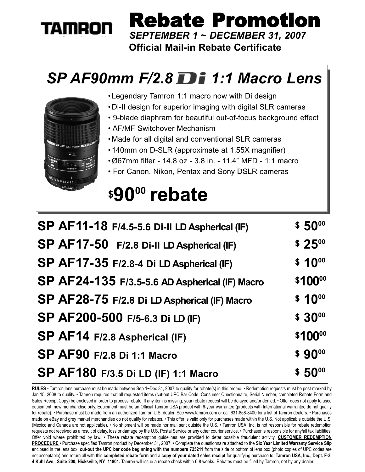# **TAMRON**

*SEPTEMBER 1 ~ DECEMBER 31, 2007* Rebate Promotion

### **Official Mail-in Rebate Certificate**

### *SP AF90mm F/2.8 1:1 Macro Lens*



•Legendary Tamron 1:1 macro now with Di design

- •Di-II design for superior imaging with digital SLR cameras
- 9-blade diaphram for beautiful out-of-focus background effect
- AF/MF Switchover Mechanism
- •Made for all digital and conventional SLR cameras
- •140mm on D-SLR (approximate at 1.55X magnifier)
- •Ø67mm filter 14.8 oz 3.8 in. 11.4" MFD 1:1 macro
- For Canon, Nikon, Pentax and Sony DSLR cameras

# **\$9000 rebate**

| SP AF11-18 F/4.5-5.6 Di-II LD Aspherical (IF)  | $$50^{00}$ |
|------------------------------------------------|------------|
| SP AF17-50 F/2.8 Di-II LD Aspherical (IF)      | $$25^{00}$ |
| SP AF17-35 F/2.8-4 Di LD Aspherical (IF)       | $$10^{00}$ |
| SP AF24-135 F/3.5-5.6 AD Aspherical (IF) Macro | \$10000    |
| SP AF28-75 F/2.8 Di LD Aspherical (IF) Macro   | $$10^{00}$ |
| SP AF200-500 F/5-6.3 Di LD (IF)                | $$30^{00}$ |
| SP AF14 F/2.8 Aspherical (IF)                  | \$10000    |
| <b>SP AF90 F/2.8 Di 1:1 Macro</b>              | $$90^{00}$ |
| SP AF180 F/3.5 Di LD (IF) 1:1 Macro            | $$50^{00}$ |

**RULES** • Tamron lens purchase must be made between Sep 1~Dec 31, 2007 to qualify for rebate(s) in this promo. • Redemption requests must be post-marked by Jan 15, 2008 to qualify. • Tamron requires that all requested items (cut-out UPC Bar Code, Consumer Questionnaire, Serial Number, completed Rebate Form and Sales Receipt Copy) be enclosed in order to process rebate. If any item is missing, your rebate request will be delayed and/or denied. • Offer does not apply to used equipment, new merchandise only. Equipment must be an Official Tamron USA product with 6-year warrantee (products with International warrantee do not qualify for rebate). • Purchase must be made from an authorized Tamron U.S. dealer. See www.tamron.com or call 631-858-8400 for a list of Tamron dealers. • Purchases made on eBay and grey market merchandise do not qualify for rebates.  $\cdot$  This offer is valid only for purchases made within the U.S. Not applicable outside the U.S. (Mexico and Canada are not applicable). • No shipment will be made nor mail sent outside the U.S. • Tamron USA, Inc. is not responsible for rebate redemption requests not received as a result of delay, loss or damage by the U.S. Postal Service or any other courier service. • Purchaser is responsible for any/all tax liabilities. Offer void where prohibited by law. • These rebate redemption guidelines are provided to deter possible fraudulent activity. **CUSTOMER REDEMPTION PROCEDURE** • Purchase specified Tamron product by December 31, 2007. • Complete the questionnaire attached to the **Six Year Limited Warranty Service Slip** enclosed in the lens box; **cut-out the UPC bar code beginning with the numbers 725211** from the side or bottom of lens box (photo copies of UPC codes are not acceptable) and return all with this **completed rebate form** and a **copy of your dated sales receipt** for qualifying purchase to: **Tamron USA, Inc., Dept. F-3, 4 Kuhl Ave., Suite 200, Hicksville, NY 11801.** Tamron will issue a rebate check within 6-8 weeks. Rebates must be filled by Tamron, not by any dealer.